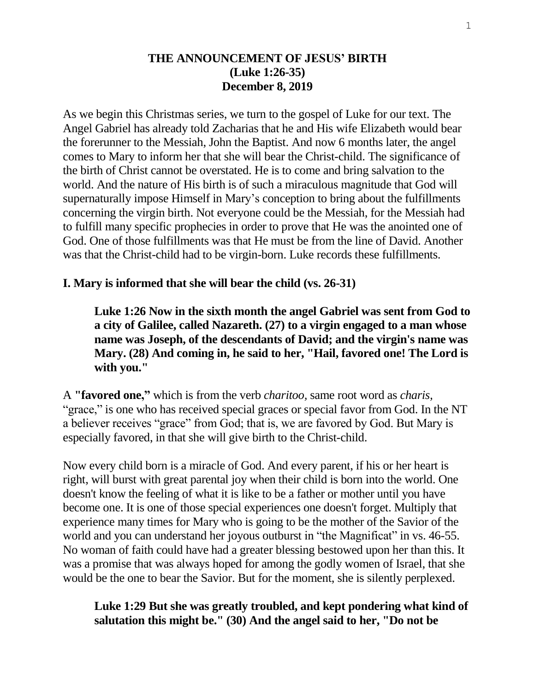#### **THE ANNOUNCEMENT OF JESUS' BIRTH (Luke 1:26-35) December 8, 2019**

As we begin this Christmas series, we turn to the gospel of Luke for our text. The Angel Gabriel has already told Zacharias that he and His wife Elizabeth would bear the forerunner to the Messiah, John the Baptist. And now 6 months later, the angel comes to Mary to inform her that she will bear the Christ-child. The significance of the birth of Christ cannot be overstated. He is to come and bring salvation to the world. And the nature of His birth is of such a miraculous magnitude that God will supernaturally impose Himself in Mary's conception to bring about the fulfillments concerning the virgin birth. Not everyone could be the Messiah, for the Messiah had to fulfill many specific prophecies in order to prove that He was the anointed one of God. One of those fulfillments was that He must be from the line of David. Another was that the Christ-child had to be virgin-born. Luke records these fulfillments.

#### **I. Mary is informed that she will bear the child (vs. 26-31)**

**Luke 1:26 Now in the sixth month the angel Gabriel was sent from God to a city of Galilee, called Nazareth. (27) to a virgin engaged to a man whose name was Joseph, of the descendants of David; and the virgin's name was Mary. (28) And coming in, he said to her, "Hail, favored one! The Lord is with you."** 

A **"favored one,"** which is from the verb *charitoo,* same root word as *charis,*  "grace," is one who has received special graces or special favor from God. In the NT a believer receives "grace" from God; that is, we are favored by God. But Mary is especially favored, in that she will give birth to the Christ-child.

Now every child born is a miracle of God. And every parent, if his or her heart is right, will burst with great parental joy when their child is born into the world. One doesn't know the feeling of what it is like to be a father or mother until you have become one. It is one of those special experiences one doesn't forget. Multiply that experience many times for Mary who is going to be the mother of the Savior of the world and you can understand her joyous outburst in "the Magnificat" in vs. 46-55. No woman of faith could have had a greater blessing bestowed upon her than this. It was a promise that was always hoped for among the godly women of Israel, that she would be the one to bear the Savior. But for the moment, she is silently perplexed.

#### **Luke 1:29 But she was greatly troubled, and kept pondering what kind of salutation this might be." (30) And the angel said to her, "Do not be**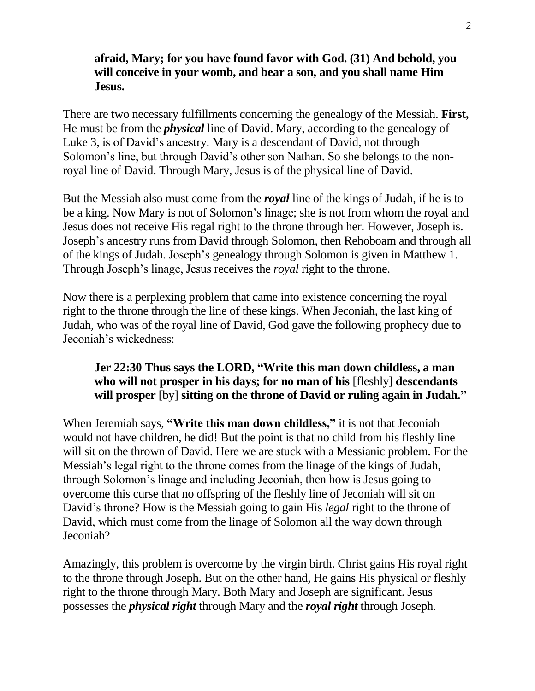### **afraid, Mary; for you have found favor with God. (31) And behold, you will conceive in your womb, and bear a son, and you shall name Him Jesus.**

There are two necessary fulfillments concerning the genealogy of the Messiah. **First,** He must be from the *physical* line of David. Mary, according to the genealogy of Luke 3, is of David's ancestry. Mary is a descendant of David, not through Solomon's line, but through David's other son Nathan. So she belongs to the nonroyal line of David. Through Mary, Jesus is of the physical line of David.

But the Messiah also must come from the *royal* line of the kings of Judah, if he is to be a king. Now Mary is not of Solomon's linage; she is not from whom the royal and Jesus does not receive His regal right to the throne through her. However, Joseph is. Joseph's ancestry runs from David through Solomon, then Rehoboam and through all of the kings of Judah. Joseph's genealogy through Solomon is given in Matthew 1. Through Joseph's linage, Jesus receives the *royal* right to the throne.

Now there is a perplexing problem that came into existence concerning the royal right to the throne through the line of these kings. When Jeconiah, the last king of Judah, who was of the royal line of David, God gave the following prophecy due to Jeconiah's wickedness:

# **Jer 22:30 Thus says the LORD, "Write this man down childless, a man who will not prosper in his days; for no man of his** [fleshly] **descendants will prosper** [by] **sitting on the throne of David or ruling again in Judah."**

When Jeremiah says, **"Write this man down childless,"** it is not that Jeconiah would not have children, he did! But the point is that no child from his fleshly line will sit on the thrown of David. Here we are stuck with a Messianic problem. For the Messiah's legal right to the throne comes from the linage of the kings of Judah, through Solomon's linage and including Jeconiah, then how is Jesus going to overcome this curse that no offspring of the fleshly line of Jeconiah will sit on David's throne? How is the Messiah going to gain His *legal* right to the throne of David, which must come from the linage of Solomon all the way down through Jeconiah?

Amazingly, this problem is overcome by the virgin birth. Christ gains His royal right to the throne through Joseph. But on the other hand, He gains His physical or fleshly right to the throne through Mary. Both Mary and Joseph are significant. Jesus possesses the *physical right* through Mary and the *royal right* through Joseph.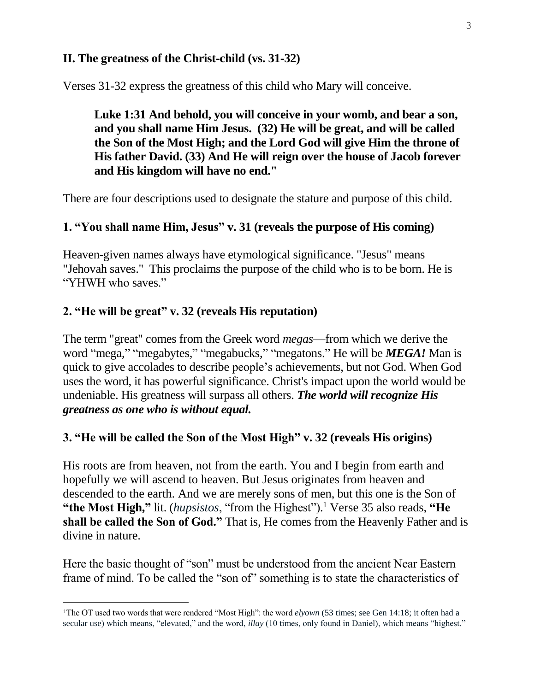### **II. The greatness of the Christ-child (vs. 31-32)**

Verses 31-32 express the greatness of this child who Mary will conceive.

**Luke 1:31 And behold, you will conceive in your womb, and bear a son, and you shall name Him Jesus. (32) He will be great, and will be called the Son of the Most High; and the Lord God will give Him the throne of His father David. (33) And He will reign over the house of Jacob forever and His kingdom will have no end."**

There are four descriptions used to designate the stature and purpose of this child.

## **1. "You shall name Him, Jesus" v. 31 (reveals the purpose of His coming)**

Heaven-given names always have etymological significance. "Jesus" means "Jehovah saves." This proclaims the purpose of the child who is to be born. He is "YHWH who saves."

## **2. "He will be great" v. 32 (reveals His reputation)**

i<br>L

The term "great" comes from the Greek word *megas*—from which we derive the word "mega," "megabytes," "megabucks," "megatons." He will be *MEGA!* Man is quick to give accolades to describe people's achievements, but not God. When God uses the word, it has powerful significance. Christ's impact upon the world would be undeniable. His greatness will surpass all others. *The world will recognize His greatness as one who is without equal.* 

### **3. "He will be called the Son of the Most High" v. 32 (reveals His origins)**

His roots are from heaven, not from the earth. You and I begin from earth and hopefully we will ascend to heaven. But Jesus originates from heaven and descended to the earth. And we are merely sons of men, but this one is the Son of **"the Most High,"** lit. (*hupsistos*, "from the Highest"). <sup>1</sup> Verse 35 also reads, **"He shall be called the Son of God."** That is, He comes from the Heavenly Father and is divine in nature.

Here the basic thought of "son" must be understood from the ancient Near Eastern frame of mind. To be called the "son of" something is to state the characteristics of

<sup>&</sup>lt;sup>1</sup>The OT used two words that were rendered "Most High": the word *elyown* (53 times; see Gen 14:18; it often had a secular use) which means, "elevated," and the word, *illay* (10 times, only found in Daniel), which means "highest."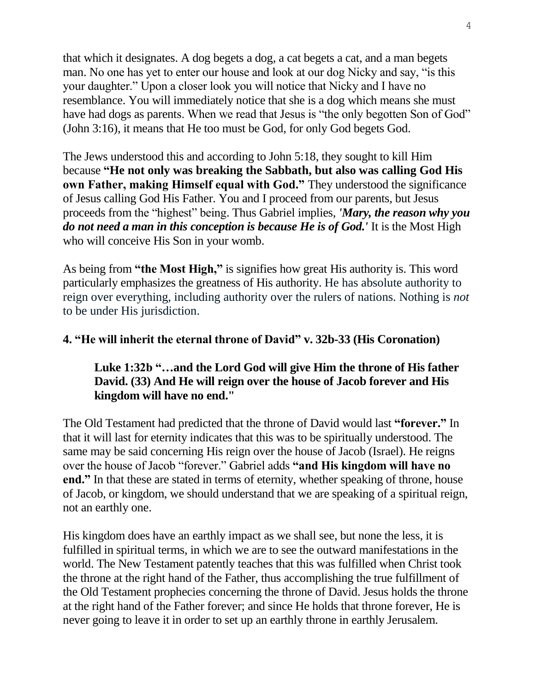that which it designates. A dog begets a dog, a cat begets a cat, and a man begets man. No one has yet to enter our house and look at our dog Nicky and say, "is this your daughter." Upon a closer look you will notice that Nicky and I have no resemblance. You will immediately notice that she is a dog which means she must have had dogs as parents. When we read that Jesus is "the only begotten Son of God" (John 3:16), it means that He too must be God, for only God begets God.

The Jews understood this and according to John 5:18, they sought to kill Him because **"He not only was breaking the Sabbath, but also was calling God His own Father, making Himself equal with God."** They understood the significance of Jesus calling God His Father. You and I proceed from our parents, but Jesus proceeds from the "highest" being. Thus Gabriel implies, *'Mary, the reason why you do not need a man in this conception is because He is of God.'* It is the Most High who will conceive His Son in your womb.

As being from **"the Most High,"** is signifies how great His authority is. This word particularly emphasizes the greatness of His authority. He has absolute authority to reign over everything, including authority over the rulers of nations. Nothing is *not* to be under His jurisdiction.

#### **4. "He will inherit the eternal throne of David" v. 32b-33 (His Coronation)**

### **Luke 1:32b "…and the Lord God will give Him the throne of His father David. (33) And He will reign over the house of Jacob forever and His kingdom will have no end."**

The Old Testament had predicted that the throne of David would last **"forever."** In that it will last for eternity indicates that this was to be spiritually understood. The same may be said concerning His reign over the house of Jacob (Israel). He reigns over the house of Jacob "forever." Gabriel adds **"and His kingdom will have no end."** In that these are stated in terms of eternity, whether speaking of throne, house of Jacob, or kingdom, we should understand that we are speaking of a spiritual reign, not an earthly one.

His kingdom does have an earthly impact as we shall see, but none the less, it is fulfilled in spiritual terms, in which we are to see the outward manifestations in the world. The New Testament patently teaches that this was fulfilled when Christ took the throne at the right hand of the Father, thus accomplishing the true fulfillment of the Old Testament prophecies concerning the throne of David. Jesus holds the throne at the right hand of the Father forever; and since He holds that throne forever, He is never going to leave it in order to set up an earthly throne in earthly Jerusalem.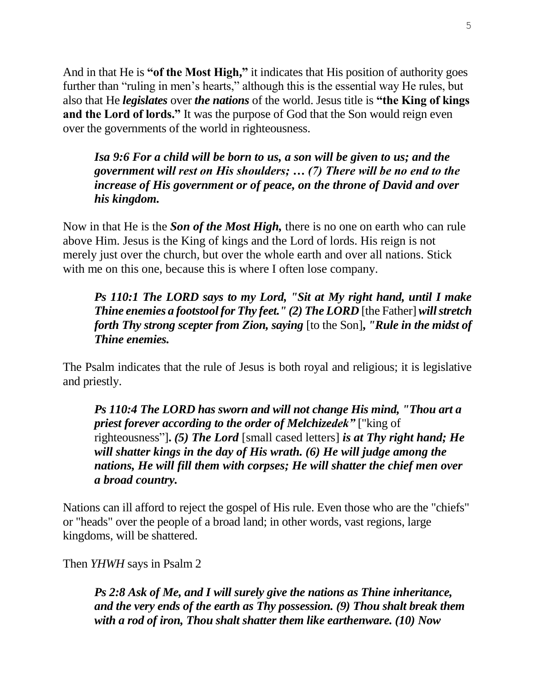And in that He is **"of the Most High,"** it indicates that His position of authority goes further than "ruling in men's hearts," although this is the essential way He rules, but also that He *legislates* over *the nations* of the world. Jesus title is **"the King of kings and the Lord of lords."** It was the purpose of God that the Son would reign even over the governments of the world in righteousness.

*Isa 9:6 For a child will be born to us, a son will be given to us; and the government will rest on His shoulders; … (7) There will be no end to the increase of His government or of peace, on the throne of David and over his kingdom.*

Now in that He is the *Son of the Most High,* there is no one on earth who can rule above Him. Jesus is the King of kings and the Lord of lords. His reign is not merely just over the church, but over the whole earth and over all nations. Stick with me on this one, because this is where I often lose company.

*Ps 110:1 The LORD says to my Lord, "Sit at My right hand, until I make Thine enemies a footstool for Thy feet." (2) The LORD* [the Father]*will stretch forth Thy strong scepter from Zion, saying* [to the Son]**,** *"Rule in the midst of Thine enemies.*

The Psalm indicates that the rule of Jesus is both royal and religious; it is legislative and priestly.

*Ps 110:4 The LORD has sworn and will not change His mind, "Thou art a priest forever according to the order of Melchizedek"* ["king of righteousness"]**.** *(5) The Lord* [small cased letters] *is at Thy right hand; He will shatter kings in the day of His wrath. (6) He will judge among the nations, He will fill them with corpses; He will shatter the chief men over a broad country.*

Nations can ill afford to reject the gospel of His rule. Even those who are the "chiefs" or "heads" over the people of a broad land; in other words, vast regions, large kingdoms, will be shattered.

Then *YHWH* says in Psalm 2

*Ps 2:8 Ask of Me, and I will surely give the nations as Thine inheritance, and the very ends of the earth as Thy possession. (9) Thou shalt break them with a rod of iron, Thou shalt shatter them like earthenware. (10) Now*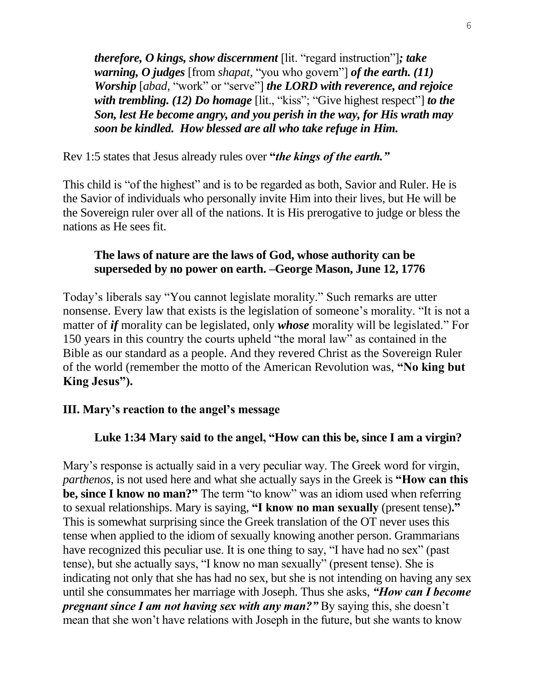*therefore, O kings, show discernment* [lit. "regard instruction"]*; take warning, O judges* [from *shapat,* "you who govern"] *of the earth. (11) Worship* [*abad,* "work" or "serve"] *the LORD with reverence, and rejoice with trembling. (12) Do homage* [lit., "kiss"; "Give highest respect"] *to the Son, lest He become angry, and you perish in the way, for His wrath may soon be kindled. How blessed are all who take refuge in Him.*

Rev 1:5 states that Jesus already rules over **"***the kings of the earth."*

This child is "of the highest" and is to be regarded as both, Savior and Ruler. He is the Savior of individuals who personally invite Him into their lives, but He will be the Sovereign ruler over all of the nations. It is His prerogative to judge or bless the nations as He sees fit.

# **The laws of nature are the laws of God, whose authority can be superseded by no power on earth. –George Mason, June 12, 1776**

Today's liberals say "You cannot legislate morality." Such remarks are utter nonsense. Every law that exists is the legislation of someone's morality. "It is not a matter of *if* morality can be legislated, only *whose* morality will be legislated." For 150 years in this country the courts upheld "the moral law" as contained in the Bible as our standard as a people. And they revered Christ as the Sovereign Ruler of the world (remember the motto of the American Revolution was, **"No king but King Jesus").**

# **III. Mary's reaction to the angel's message**

# **Luke 1:34 Mary said to the angel, "How can this be, since I am a virgin?**

Mary's response is actually said in a very peculiar way. The Greek word for virgin, *parthenos,* is not used here and what she actually says in the Greek is **"How can this be, since I know no man?"** The term "to know" was an idiom used when referring to sexual relationships. Mary is saying, **"I know no man sexually** (present tense)**."**  This is somewhat surprising since the Greek translation of the OT never uses this tense when applied to the idiom of sexually knowing another person. Grammarians have recognized this peculiar use. It is one thing to say, "I have had no sex" (past tense), but she actually says, "I know no man sexually" (present tense). She is indicating not only that she has had no sex, but she is not intending on having any sex until she consummates her marriage with Joseph. Thus she asks, *"How can I become pregnant since I am not having sex with any man?"* By saying this, she doesn't mean that she won't have relations with Joseph in the future, but she wants to know